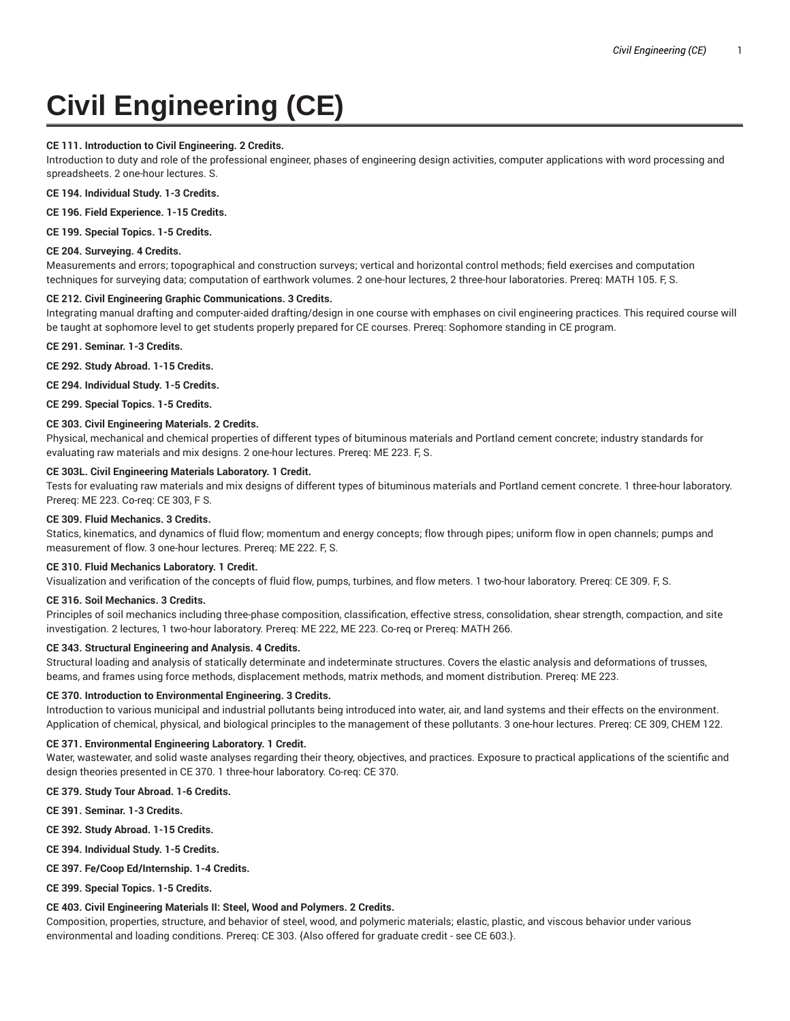# **Civil Engineering (CE)**

## **CE 111. Introduction to Civil Engineering. 2 Credits.**

Introduction to duty and role of the professional engineer, phases of engineering design activities, computer applications with word processing and spreadsheets. 2 one-hour lectures. S.

**CE 194. Individual Study. 1-3 Credits.**

**CE 196. Field Experience. 1-15 Credits.**

**CE 199. Special Topics. 1-5 Credits.**

## **CE 204. Surveying. 4 Credits.**

Measurements and errors; topographical and construction surveys; vertical and horizontal control methods; field exercises and computation techniques for surveying data; computation of earthwork volumes. 2 one-hour lectures, 2 three-hour laboratories. Prereq: MATH 105. F, S.

## **CE 212. Civil Engineering Graphic Communications. 3 Credits.**

Integrating manual drafting and computer-aided drafting/design in one course with emphases on civil engineering practices. This required course will be taught at sophomore level to get students properly prepared for CE courses. Prereq: Sophomore standing in CE program.

**CE 291. Seminar. 1-3 Credits.**

**CE 292. Study Abroad. 1-15 Credits.**

**CE 294. Individual Study. 1-5 Credits.**

**CE 299. Special Topics. 1-5 Credits.**

## **CE 303. Civil Engineering Materials. 2 Credits.**

Physical, mechanical and chemical properties of different types of bituminous materials and Portland cement concrete; industry standards for evaluating raw materials and mix designs. 2 one-hour lectures. Prereq: ME 223. F, S.

## **CE 303L. Civil Engineering Materials Laboratory. 1 Credit.**

Tests for evaluating raw materials and mix designs of different types of bituminous materials and Portland cement concrete. 1 three-hour laboratory. Prereq: ME 223. Co-req: CE 303, F S.

#### **CE 309. Fluid Mechanics. 3 Credits.**

Statics, kinematics, and dynamics of fluid flow; momentum and energy concepts; flow through pipes; uniform flow in open channels; pumps and measurement of flow. 3 one-hour lectures. Prereq: ME 222. F, S.

#### **CE 310. Fluid Mechanics Laboratory. 1 Credit.**

Visualization and verification of the concepts of fluid flow, pumps, turbines, and flow meters. 1 two-hour laboratory. Prereq: CE 309. F, S.

## **CE 316. Soil Mechanics. 3 Credits.**

Principles of soil mechanics including three-phase composition, classification, effective stress, consolidation, shear strength, compaction, and site investigation. 2 lectures, 1 two-hour laboratory. Prereq: ME 222, ME 223. Co-req or Prereq: MATH 266.

# **CE 343. Structural Engineering and Analysis. 4 Credits.**

Structural loading and analysis of statically determinate and indeterminate structures. Covers the elastic analysis and deformations of trusses, beams, and frames using force methods, displacement methods, matrix methods, and moment distribution. Prereq: ME 223.

#### **CE 370. Introduction to Environmental Engineering. 3 Credits.**

Introduction to various municipal and industrial pollutants being introduced into water, air, and land systems and their effects on the environment. Application of chemical, physical, and biological principles to the management of these pollutants. 3 one-hour lectures. Prereq: CE 309, CHEM 122.

#### **CE 371. Environmental Engineering Laboratory. 1 Credit.**

Water, wastewater, and solid waste analyses regarding their theory, objectives, and practices. Exposure to practical applications of the scientific and design theories presented in CE 370. 1 three-hour laboratory. Co-req: CE 370.

#### **CE 379. Study Tour Abroad. 1-6 Credits.**

- **CE 391. Seminar. 1-3 Credits.**
- **CE 392. Study Abroad. 1-15 Credits.**

**CE 394. Individual Study. 1-5 Credits.**

**CE 397. Fe/Coop Ed/Internship. 1-4 Credits.**

**CE 399. Special Topics. 1-5 Credits.**

## **CE 403. Civil Engineering Materials II: Steel, Wood and Polymers. 2 Credits.**

Composition, properties, structure, and behavior of steel, wood, and polymeric materials; elastic, plastic, and viscous behavior under various environmental and loading conditions. Prereq: CE 303. {Also offered for graduate credit - see CE 603.}.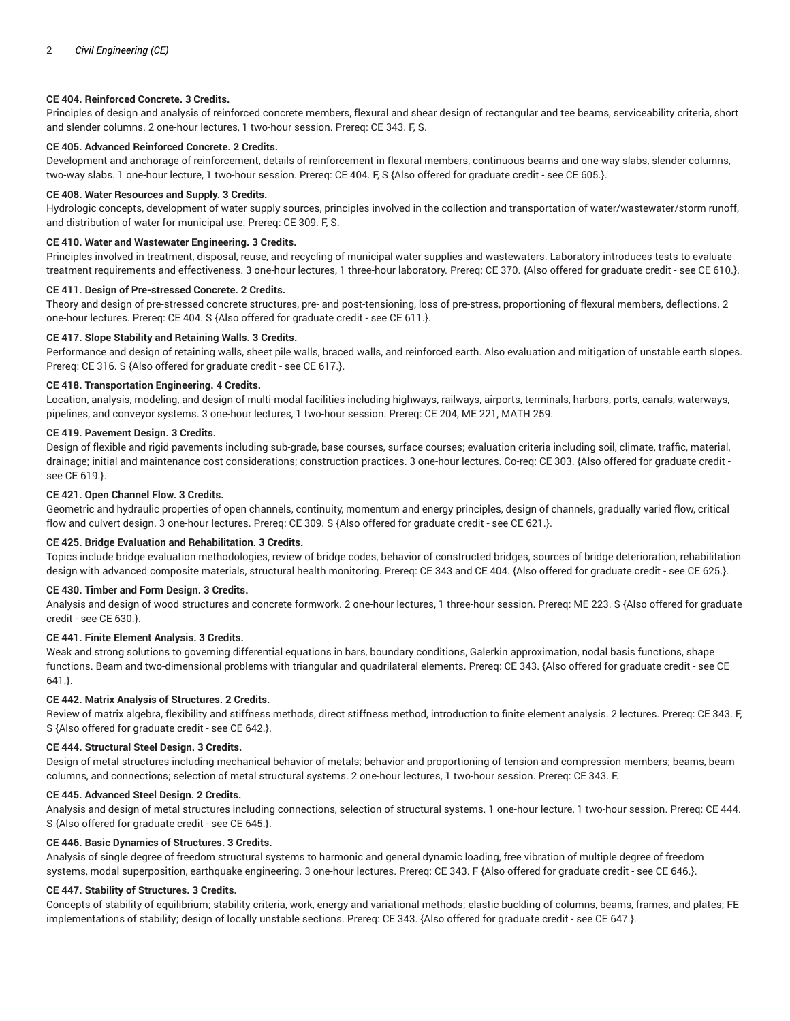## **CE 404. Reinforced Concrete. 3 Credits.**

Principles of design and analysis of reinforced concrete members, flexural and shear design of rectangular and tee beams, serviceability criteria, short and slender columns. 2 one-hour lectures, 1 two-hour session. Prereq: CE 343. F, S.

## **CE 405. Advanced Reinforced Concrete. 2 Credits.**

Development and anchorage of reinforcement, details of reinforcement in flexural members, continuous beams and one-way slabs, slender columns, two-way slabs. 1 one-hour lecture, 1 two-hour session. Prereq: CE 404. F, S {Also offered for graduate credit - see CE 605.}.

## **CE 408. Water Resources and Supply. 3 Credits.**

Hydrologic concepts, development of water supply sources, principles involved in the collection and transportation of water/wastewater/storm runoff, and distribution of water for municipal use. Prereq: CE 309. F, S.

## **CE 410. Water and Wastewater Engineering. 3 Credits.**

Principles involved in treatment, disposal, reuse, and recycling of municipal water supplies and wastewaters. Laboratory introduces tests to evaluate treatment requirements and effectiveness. 3 one-hour lectures, 1 three-hour laboratory. Prereq: CE 370. {Also offered for graduate credit - see CE 610.}.

# **CE 411. Design of Pre-stressed Concrete. 2 Credits.**

Theory and design of pre-stressed concrete structures, pre- and post-tensioning, loss of pre-stress, proportioning of flexural members, deflections. 2 one-hour lectures. Prereq: CE 404. S {Also offered for graduate credit - see CE 611.}.

#### **CE 417. Slope Stability and Retaining Walls. 3 Credits.**

Performance and design of retaining walls, sheet pile walls, braced walls, and reinforced earth. Also evaluation and mitigation of unstable earth slopes. Prereq: CE 316. S {Also offered for graduate credit - see CE 617.}.

## **CE 418. Transportation Engineering. 4 Credits.**

Location, analysis, modeling, and design of multi-modal facilities including highways, railways, airports, terminals, harbors, ports, canals, waterways, pipelines, and conveyor systems. 3 one-hour lectures, 1 two-hour session. Prereq: CE 204, ME 221, MATH 259.

## **CE 419. Pavement Design. 3 Credits.**

Design of flexible and rigid pavements including sub-grade, base courses, surface courses; evaluation criteria including soil, climate, traffic, material, drainage; initial and maintenance cost considerations; construction practices. 3 one-hour lectures. Co-req: CE 303. {Also offered for graduate credit see CE 619.}.

# **CE 421. Open Channel Flow. 3 Credits.**

Geometric and hydraulic properties of open channels, continuity, momentum and energy principles, design of channels, gradually varied flow, critical flow and culvert design. 3 one-hour lectures. Prereq: CE 309. S {Also offered for graduate credit - see CE 621.}.

#### **CE 425. Bridge Evaluation and Rehabilitation. 3 Credits.**

Topics include bridge evaluation methodologies, review of bridge codes, behavior of constructed bridges, sources of bridge deterioration, rehabilitation design with advanced composite materials, structural health monitoring. Prereq: CE 343 and CE 404. {Also offered for graduate credit - see CE 625.}.

#### **CE 430. Timber and Form Design. 3 Credits.**

Analysis and design of wood structures and concrete formwork. 2 one-hour lectures, 1 three-hour session. Prereq: ME 223. S {Also offered for graduate credit - see CE 630.}.

# **CE 441. Finite Element Analysis. 3 Credits.**

Weak and strong solutions to governing differential equations in bars, boundary conditions, Galerkin approximation, nodal basis functions, shape functions. Beam and two-dimensional problems with triangular and quadrilateral elements. Prereq: CE 343. {Also offered for graduate credit - see CE 641.}.

## **CE 442. Matrix Analysis of Structures. 2 Credits.**

Review of matrix algebra, flexibility and stiffness methods, direct stiffness method, introduction to finite element analysis. 2 lectures. Prereq: CE 343. F, S {Also offered for graduate credit - see CE 642.}.

#### **CE 444. Structural Steel Design. 3 Credits.**

Design of metal structures including mechanical behavior of metals; behavior and proportioning of tension and compression members; beams, beam columns, and connections; selection of metal structural systems. 2 one-hour lectures, 1 two-hour session. Prereq: CE 343. F.

## **CE 445. Advanced Steel Design. 2 Credits.**

Analysis and design of metal structures including connections, selection of structural systems. 1 one-hour lecture, 1 two-hour session. Prereq: CE 444. S {Also offered for graduate credit - see CE 645.}.

#### **CE 446. Basic Dynamics of Structures. 3 Credits.**

Analysis of single degree of freedom structural systems to harmonic and general dynamic loading, free vibration of multiple degree of freedom systems, modal superposition, earthquake engineering. 3 one-hour lectures. Prereq: CE 343. F {Also offered for graduate credit - see CE 646.}.

#### **CE 447. Stability of Structures. 3 Credits.**

Concepts of stability of equilibrium; stability criteria, work, energy and variational methods; elastic buckling of columns, beams, frames, and plates; FE implementations of stability; design of locally unstable sections. Prereq: CE 343. {Also offered for graduate credit - see CE 647.}.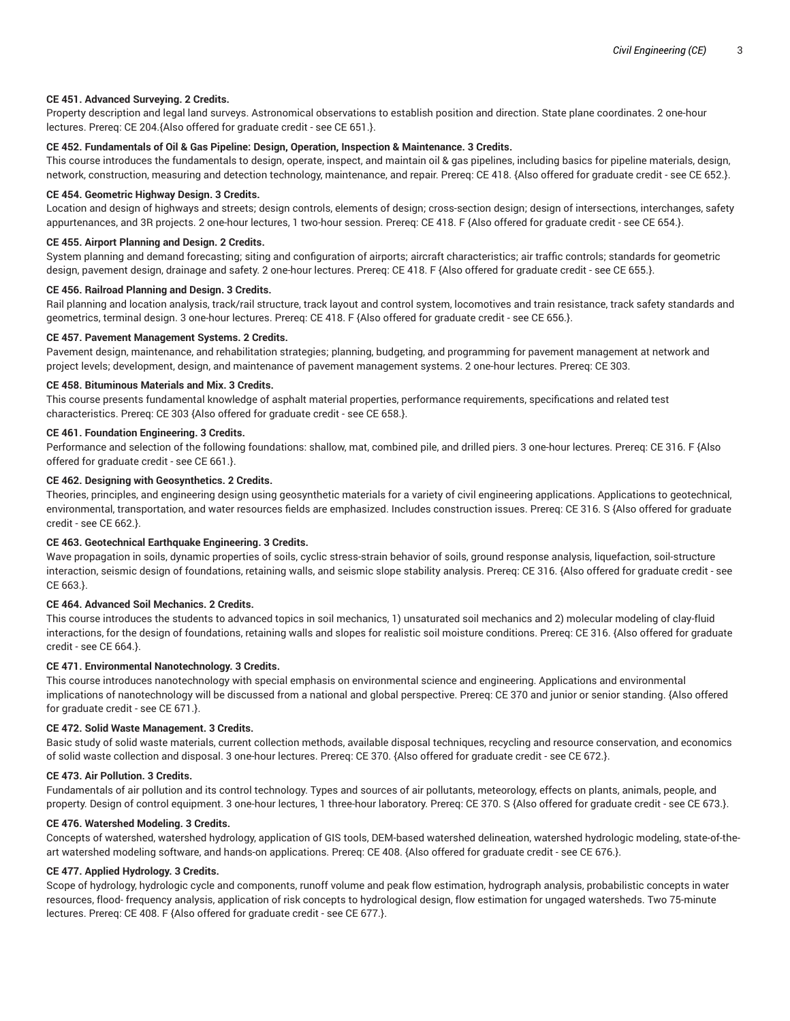## **CE 451. Advanced Surveying. 2 Credits.**

Property description and legal land surveys. Astronomical observations to establish position and direction. State plane coordinates. 2 one-hour lectures. Prereq: CE 204.{Also offered for graduate credit - see CE 651.}.

## **CE 452. Fundamentals of Oil & Gas Pipeline: Design, Operation, Inspection & Maintenance. 3 Credits.**

This course introduces the fundamentals to design, operate, inspect, and maintain oil & gas pipelines, including basics for pipeline materials, design, network, construction, measuring and detection technology, maintenance, and repair. Prereq: CE 418. {Also offered for graduate credit - see CE 652.}.

#### **CE 454. Geometric Highway Design. 3 Credits.**

Location and design of highways and streets; design controls, elements of design; cross-section design; design of intersections, interchanges, safety appurtenances, and 3R projects. 2 one-hour lectures, 1 two-hour session. Prereq: CE 418. F {Also offered for graduate credit - see CE 654.}.

## **CE 455. Airport Planning and Design. 2 Credits.**

System planning and demand forecasting; siting and configuration of airports; aircraft characteristics; air traffic controls; standards for geometric design, pavement design, drainage and safety. 2 one-hour lectures. Prereq: CE 418. F {Also offered for graduate credit - see CE 655.}.

## **CE 456. Railroad Planning and Design. 3 Credits.**

Rail planning and location analysis, track/rail structure, track layout and control system, locomotives and train resistance, track safety standards and geometrics, terminal design. 3 one-hour lectures. Prereq: CE 418. F {Also offered for graduate credit - see CE 656.}.

#### **CE 457. Pavement Management Systems. 2 Credits.**

Pavement design, maintenance, and rehabilitation strategies; planning, budgeting, and programming for pavement management at network and project levels; development, design, and maintenance of pavement management systems. 2 one-hour lectures. Prereq: CE 303.

## **CE 458. Bituminous Materials and Mix. 3 Credits.**

This course presents fundamental knowledge of asphalt material properties, performance requirements, specifications and related test characteristics. Prereq: CE 303 {Also offered for graduate credit - see CE 658.}.

## **CE 461. Foundation Engineering. 3 Credits.**

Performance and selection of the following foundations: shallow, mat, combined pile, and drilled piers. 3 one-hour lectures. Prereq: CE 316. F {Also offered for graduate credit - see CE 661.}.

## **CE 462. Designing with Geosynthetics. 2 Credits.**

Theories, principles, and engineering design using geosynthetic materials for a variety of civil engineering applications. Applications to geotechnical, environmental, transportation, and water resources fields are emphasized. Includes construction issues. Prereq: CE 316. S {Also offered for graduate credit - see CE 662.}.

#### **CE 463. Geotechnical Earthquake Engineering. 3 Credits.**

Wave propagation in soils, dynamic properties of soils, cyclic stress-strain behavior of soils, ground response analysis, liquefaction, soil-structure interaction, seismic design of foundations, retaining walls, and seismic slope stability analysis. Prereq: CE 316. {Also offered for graduate credit - see CE 663.}.

#### **CE 464. Advanced Soil Mechanics. 2 Credits.**

This course introduces the students to advanced topics in soil mechanics, 1) unsaturated soil mechanics and 2) molecular modeling of clay-fluid interactions, for the design of foundations, retaining walls and slopes for realistic soil moisture conditions. Prereq: CE 316. {Also offered for graduate credit - see CE 664.}.

## **CE 471. Environmental Nanotechnology. 3 Credits.**

This course introduces nanotechnology with special emphasis on environmental science and engineering. Applications and environmental implications of nanotechnology will be discussed from a national and global perspective. Prereq: CE 370 and junior or senior standing. {Also offered for graduate credit - see CE 671.}.

#### **CE 472. Solid Waste Management. 3 Credits.**

Basic study of solid waste materials, current collection methods, available disposal techniques, recycling and resource conservation, and economics of solid waste collection and disposal. 3 one-hour lectures. Prereq: CE 370. {Also offered for graduate credit - see CE 672.}.

## **CE 473. Air Pollution. 3 Credits.**

Fundamentals of air pollution and its control technology. Types and sources of air pollutants, meteorology, effects on plants, animals, people, and property. Design of control equipment. 3 one-hour lectures, 1 three-hour laboratory. Prereq: CE 370. S {Also offered for graduate credit - see CE 673.}.

#### **CE 476. Watershed Modeling. 3 Credits.**

Concepts of watershed, watershed hydrology, application of GIS tools, DEM-based watershed delineation, watershed hydrologic modeling, state-of-theart watershed modeling software, and hands-on applications. Prereq: CE 408. {Also offered for graduate credit - see CE 676.}.

## **CE 477. Applied Hydrology. 3 Credits.**

Scope of hydrology, hydrologic cycle and components, runoff volume and peak flow estimation, hydrograph analysis, probabilistic concepts in water resources, flood- frequency analysis, application of risk concepts to hydrological design, flow estimation for ungaged watersheds. Two 75-minute lectures. Prereq: CE 408. F {Also offered for graduate credit - see CE 677.}.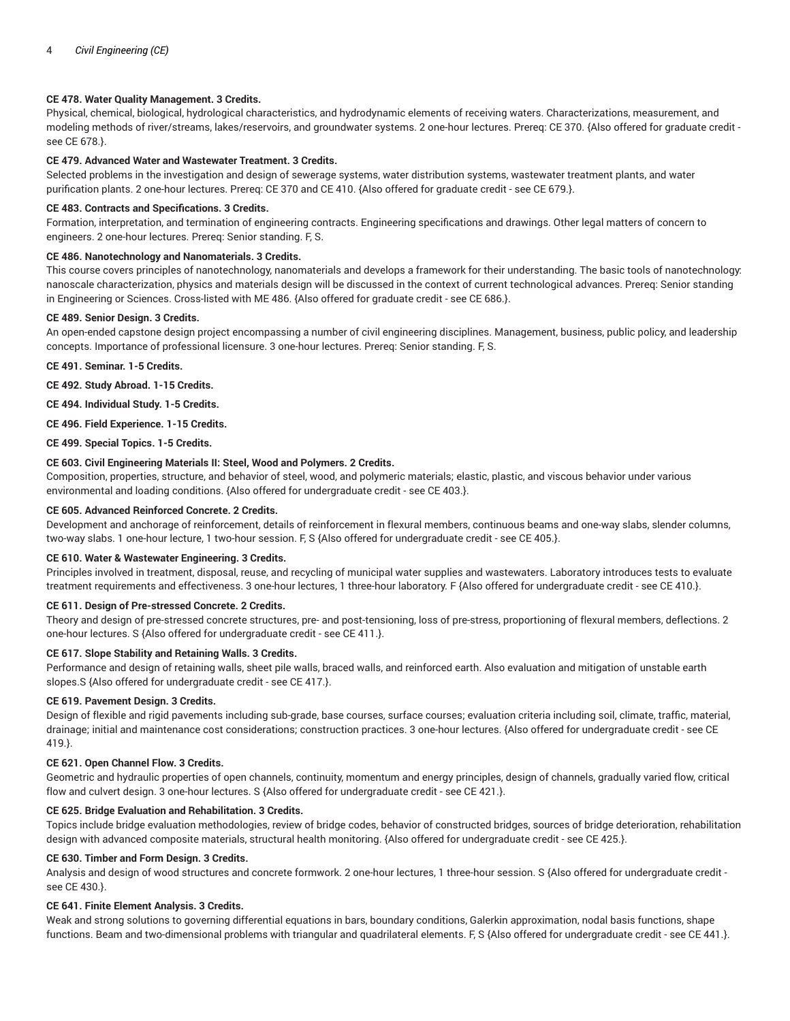# **CE 478. Water Quality Management. 3 Credits.**

Physical, chemical, biological, hydrological characteristics, and hydrodynamic elements of receiving waters. Characterizations, measurement, and modeling methods of river/streams, lakes/reservoirs, and groundwater systems. 2 one-hour lectures. Prereq: CE 370. {Also offered for graduate credit see CE 678.}.

## **CE 479. Advanced Water and Wastewater Treatment. 3 Credits.**

Selected problems in the investigation and design of sewerage systems, water distribution systems, wastewater treatment plants, and water purification plants. 2 one-hour lectures. Prereq: CE 370 and CE 410. {Also offered for graduate credit - see CE 679.}.

## **CE 483. Contracts and Specifications. 3 Credits.**

Formation, interpretation, and termination of engineering contracts. Engineering specifications and drawings. Other legal matters of concern to engineers. 2 one-hour lectures. Prereq: Senior standing. F, S.

## **CE 486. Nanotechnology and Nanomaterials. 3 Credits.**

This course covers principles of nanotechnology, nanomaterials and develops a framework for their understanding. The basic tools of nanotechnology: nanoscale characterization, physics and materials design will be discussed in the context of current technological advances. Prereq: Senior standing in Engineering or Sciences. Cross-listed with ME 486. {Also offered for graduate credit - see CE 686.}.

## **CE 489. Senior Design. 3 Credits.**

An open-ended capstone design project encompassing a number of civil engineering disciplines. Management, business, public policy, and leadership concepts. Importance of professional licensure. 3 one-hour lectures. Prereq: Senior standing. F, S.

**CE 491. Seminar. 1-5 Credits.**

**CE 492. Study Abroad. 1-15 Credits.**

**CE 494. Individual Study. 1-5 Credits.**

**CE 496. Field Experience. 1-15 Credits.**

**CE 499. Special Topics. 1-5 Credits.**

## **CE 603. Civil Engineering Materials II: Steel, Wood and Polymers. 2 Credits.**

Composition, properties, structure, and behavior of steel, wood, and polymeric materials; elastic, plastic, and viscous behavior under various environmental and loading conditions. {Also offered for undergraduate credit - see CE 403.}.

#### **CE 605. Advanced Reinforced Concrete. 2 Credits.**

Development and anchorage of reinforcement, details of reinforcement in flexural members, continuous beams and one-way slabs, slender columns, two-way slabs. 1 one-hour lecture, 1 two-hour session. F, S {Also offered for undergraduate credit - see CE 405.}.

#### **CE 610. Water & Wastewater Engineering. 3 Credits.**

Principles involved in treatment, disposal, reuse, and recycling of municipal water supplies and wastewaters. Laboratory introduces tests to evaluate treatment requirements and effectiveness. 3 one-hour lectures, 1 three-hour laboratory. F {Also offered for undergraduate credit - see CE 410.}.

## **CE 611. Design of Pre-stressed Concrete. 2 Credits.**

Theory and design of pre-stressed concrete structures, pre- and post-tensioning, loss of pre-stress, proportioning of flexural members, deflections. 2 one-hour lectures. S {Also offered for undergraduate credit - see CE 411.}.

#### **CE 617. Slope Stability and Retaining Walls. 3 Credits.**

Performance and design of retaining walls, sheet pile walls, braced walls, and reinforced earth. Also evaluation and mitigation of unstable earth slopes.S {Also offered for undergraduate credit - see CE 417.}.

## **CE 619. Pavement Design. 3 Credits.**

Design of flexible and rigid pavements including sub-grade, base courses, surface courses; evaluation criteria including soil, climate, traffic, material, drainage; initial and maintenance cost considerations; construction practices. 3 one-hour lectures. {Also offered for undergraduate credit - see CE 419.}.

## **CE 621. Open Channel Flow. 3 Credits.**

Geometric and hydraulic properties of open channels, continuity, momentum and energy principles, design of channels, gradually varied flow, critical flow and culvert design. 3 one-hour lectures. S {Also offered for undergraduate credit - see CE 421.}.

## **CE 625. Bridge Evaluation and Rehabilitation. 3 Credits.**

Topics include bridge evaluation methodologies, review of bridge codes, behavior of constructed bridges, sources of bridge deterioration, rehabilitation design with advanced composite materials, structural health monitoring. {Also offered for undergraduate credit - see CE 425.}.

## **CE 630. Timber and Form Design. 3 Credits.**

Analysis and design of wood structures and concrete formwork. 2 one-hour lectures, 1 three-hour session. S {Also offered for undergraduate credit see CE 430.}.

# **CE 641. Finite Element Analysis. 3 Credits.**

Weak and strong solutions to governing differential equations in bars, boundary conditions, Galerkin approximation, nodal basis functions, shape functions. Beam and two-dimensional problems with triangular and quadrilateral elements. F, S {Also offered for undergraduate credit - see CE 441.}.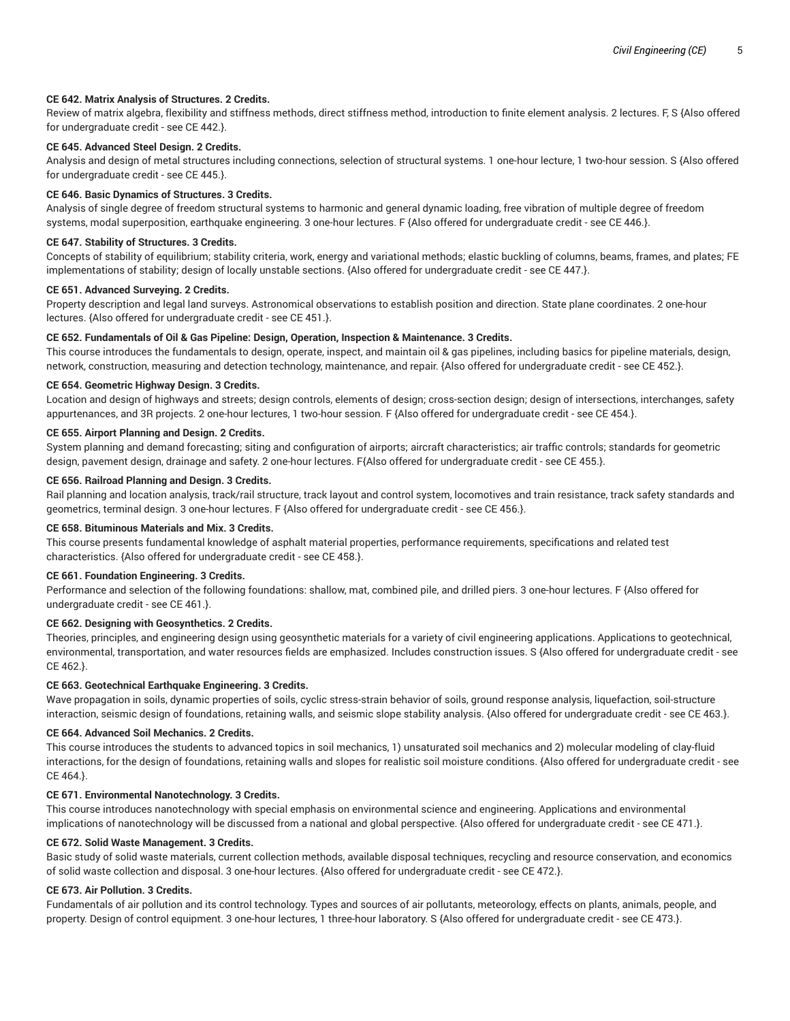## **CE 642. Matrix Analysis of Structures. 2 Credits.**

Review of matrix algebra, flexibility and stiffness methods, direct stiffness method, introduction to finite element analysis. 2 lectures. F, S {Also offered for undergraduate credit - see CE 442.}.

## **CE 645. Advanced Steel Design. 2 Credits.**

Analysis and design of metal structures including connections, selection of structural systems. 1 one-hour lecture, 1 two-hour session. S {Also offered for undergraduate credit - see CE 445.}.

#### **CE 646. Basic Dynamics of Structures. 3 Credits.**

Analysis of single degree of freedom structural systems to harmonic and general dynamic loading, free vibration of multiple degree of freedom systems, modal superposition, earthquake engineering. 3 one-hour lectures. F {Also offered for undergraduate credit - see CE 446.}.

## **CE 647. Stability of Structures. 3 Credits.**

Concepts of stability of equilibrium; stability criteria, work, energy and variational methods; elastic buckling of columns, beams, frames, and plates; FE implementations of stability; design of locally unstable sections. {Also offered for undergraduate credit - see CE 447.}.

## **CE 651. Advanced Surveying. 2 Credits.**

Property description and legal land surveys. Astronomical observations to establish position and direction. State plane coordinates. 2 one-hour lectures. {Also offered for undergraduate credit - see CE 451.}.

#### **CE 652. Fundamentals of Oil & Gas Pipeline: Design, Operation, Inspection & Maintenance. 3 Credits.**

This course introduces the fundamentals to design, operate, inspect, and maintain oil & gas pipelines, including basics for pipeline materials, design, network, construction, measuring and detection technology, maintenance, and repair. {Also offered for undergraduate credit - see CE 452.}.

## **CE 654. Geometric Highway Design. 3 Credits.**

Location and design of highways and streets; design controls, elements of design; cross-section design; design of intersections, interchanges, safety appurtenances, and 3R projects. 2 one-hour lectures, 1 two-hour session. F {Also offered for undergraduate credit - see CE 454.}.

# **CE 655. Airport Planning and Design. 2 Credits.**

System planning and demand forecasting; siting and configuration of airports; aircraft characteristics; air traffic controls; standards for geometric design, pavement design, drainage and safety. 2 one-hour lectures. F{Also offered for undergraduate credit - see CE 455.}.

## **CE 656. Railroad Planning and Design. 3 Credits.**

Rail planning and location analysis, track/rail structure, track layout and control system, locomotives and train resistance, track safety standards and geometrics, terminal design. 3 one-hour lectures. F {Also offered for undergraduate credit - see CE 456.}.

#### **CE 658. Bituminous Materials and Mix. 3 Credits.**

This course presents fundamental knowledge of asphalt material properties, performance requirements, specifications and related test characteristics. {Also offered for undergraduate credit - see CE 458.}.

## **CE 661. Foundation Engineering. 3 Credits.**

Performance and selection of the following foundations: shallow, mat, combined pile, and drilled piers. 3 one-hour lectures. F {Also offered for undergraduate credit - see CE 461.}.

# **CE 662. Designing with Geosynthetics. 2 Credits.**

Theories, principles, and engineering design using geosynthetic materials for a variety of civil engineering applications. Applications to geotechnical, environmental, transportation, and water resources fields are emphasized. Includes construction issues. S {Also offered for undergraduate credit - see CE 462.}.

#### **CE 663. Geotechnical Earthquake Engineering. 3 Credits.**

Wave propagation in soils, dynamic properties of soils, cyclic stress-strain behavior of soils, ground response analysis, liquefaction, soil-structure interaction, seismic design of foundations, retaining walls, and seismic slope stability analysis. {Also offered for undergraduate credit - see CE 463.}.

## **CE 664. Advanced Soil Mechanics. 2 Credits.**

This course introduces the students to advanced topics in soil mechanics, 1) unsaturated soil mechanics and 2) molecular modeling of clay-fluid interactions, for the design of foundations, retaining walls and slopes for realistic soil moisture conditions. {Also offered for undergraduate credit - see CE 464.}.

## **CE 671. Environmental Nanotechnology. 3 Credits.**

This course introduces nanotechnology with special emphasis on environmental science and engineering. Applications and environmental implications of nanotechnology will be discussed from a national and global perspective. {Also offered for undergraduate credit - see CE 471.}.

#### **CE 672. Solid Waste Management. 3 Credits.**

Basic study of solid waste materials, current collection methods, available disposal techniques, recycling and resource conservation, and economics of solid waste collection and disposal. 3 one-hour lectures. {Also offered for undergraduate credit - see CE 472.}.

#### **CE 673. Air Pollution. 3 Credits.**

Fundamentals of air pollution and its control technology. Types and sources of air pollutants, meteorology, effects on plants, animals, people, and property. Design of control equipment. 3 one-hour lectures, 1 three-hour laboratory. S {Also offered for undergraduate credit - see CE 473.}.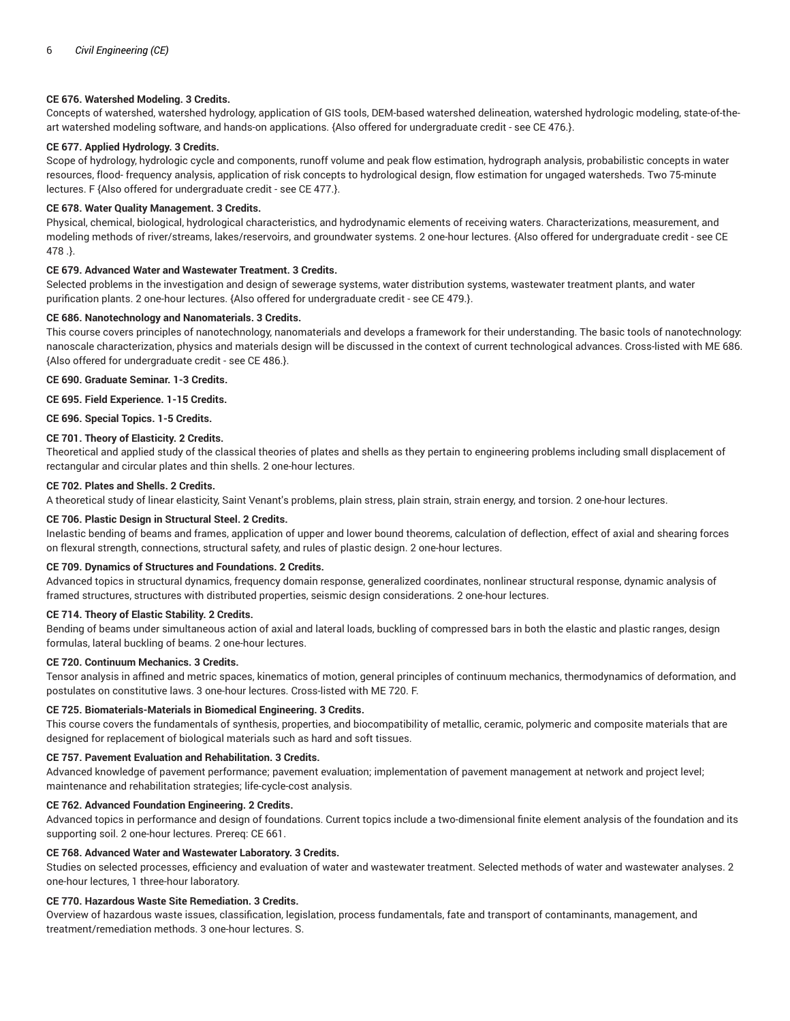## **CE 676. Watershed Modeling. 3 Credits.**

Concepts of watershed, watershed hydrology, application of GIS tools, DEM-based watershed delineation, watershed hydrologic modeling, state-of-theart watershed modeling software, and hands-on applications. {Also offered for undergraduate credit - see CE 476.}.

# **CE 677. Applied Hydrology. 3 Credits.**

Scope of hydrology, hydrologic cycle and components, runoff volume and peak flow estimation, hydrograph analysis, probabilistic concepts in water resources, flood- frequency analysis, application of risk concepts to hydrological design, flow estimation for ungaged watersheds. Two 75-minute lectures. F {Also offered for undergraduate credit - see CE 477.}.

## **CE 678. Water Quality Management. 3 Credits.**

Physical, chemical, biological, hydrological characteristics, and hydrodynamic elements of receiving waters. Characterizations, measurement, and modeling methods of river/streams, lakes/reservoirs, and groundwater systems. 2 one-hour lectures. {Also offered for undergraduate credit - see CE 478 .}.

## **CE 679. Advanced Water and Wastewater Treatment. 3 Credits.**

Selected problems in the investigation and design of sewerage systems, water distribution systems, wastewater treatment plants, and water purification plants. 2 one-hour lectures. {Also offered for undergraduate credit - see CE 479.}.

## **CE 686. Nanotechnology and Nanomaterials. 3 Credits.**

This course covers principles of nanotechnology, nanomaterials and develops a framework for their understanding. The basic tools of nanotechnology: nanoscale characterization, physics and materials design will be discussed in the context of current technological advances. Cross-listed with ME 686. {Also offered for undergraduate credit - see CE 486.}.

## **CE 690. Graduate Seminar. 1-3 Credits.**

**CE 695. Field Experience. 1-15 Credits.**

**CE 696. Special Topics. 1-5 Credits.**

## **CE 701. Theory of Elasticity. 2 Credits.**

Theoretical and applied study of the classical theories of plates and shells as they pertain to engineering problems including small displacement of rectangular and circular plates and thin shells. 2 one-hour lectures.

## **CE 702. Plates and Shells. 2 Credits.**

A theoretical study of linear elasticity, Saint Venant's problems, plain stress, plain strain, strain energy, and torsion. 2 one-hour lectures.

## **CE 706. Plastic Design in Structural Steel. 2 Credits.**

Inelastic bending of beams and frames, application of upper and lower bound theorems, calculation of deflection, effect of axial and shearing forces on flexural strength, connections, structural safety, and rules of plastic design. 2 one-hour lectures.

## **CE 709. Dynamics of Structures and Foundations. 2 Credits.**

Advanced topics in structural dynamics, frequency domain response, generalized coordinates, nonlinear structural response, dynamic analysis of framed structures, structures with distributed properties, seismic design considerations. 2 one-hour lectures.

#### **CE 714. Theory of Elastic Stability. 2 Credits.**

Bending of beams under simultaneous action of axial and lateral loads, buckling of compressed bars in both the elastic and plastic ranges, design formulas, lateral buckling of beams. 2 one-hour lectures.

#### **CE 720. Continuum Mechanics. 3 Credits.**

Tensor analysis in affined and metric spaces, kinematics of motion, general principles of continuum mechanics, thermodynamics of deformation, and postulates on constitutive laws. 3 one-hour lectures. Cross-listed with ME 720. F.

## **CE 725. Biomaterials-Materials in Biomedical Engineering. 3 Credits.**

This course covers the fundamentals of synthesis, properties, and biocompatibility of metallic, ceramic, polymeric and composite materials that are designed for replacement of biological materials such as hard and soft tissues.

## **CE 757. Pavement Evaluation and Rehabilitation. 3 Credits.**

Advanced knowledge of pavement performance; pavement evaluation; implementation of pavement management at network and project level; maintenance and rehabilitation strategies; life-cycle-cost analysis.

#### **CE 762. Advanced Foundation Engineering. 2 Credits.**

Advanced topics in performance and design of foundations. Current topics include a two-dimensional finite element analysis of the foundation and its supporting soil. 2 one-hour lectures. Prereq: CE 661.

## **CE 768. Advanced Water and Wastewater Laboratory. 3 Credits.**

Studies on selected processes, efficiency and evaluation of water and wastewater treatment. Selected methods of water and wastewater analyses. 2 one-hour lectures, 1 three-hour laboratory.

## **CE 770. Hazardous Waste Site Remediation. 3 Credits.**

Overview of hazardous waste issues, classification, legislation, process fundamentals, fate and transport of contaminants, management, and treatment/remediation methods. 3 one-hour lectures. S.